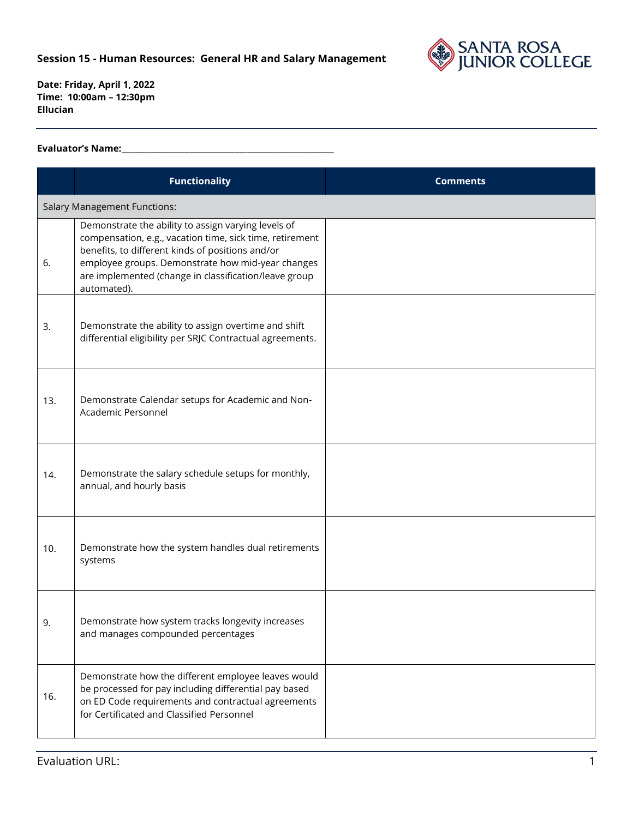

## **Evaluator's Name:\_\_\_\_\_\_\_\_\_\_\_\_\_\_\_\_\_\_\_\_\_\_\_\_\_\_\_\_\_\_\_\_\_\_\_\_\_\_\_\_\_\_\_\_\_\_\_\_\_\_\_\_\_\_**

|     | <b>Functionality</b>                                                                                                                                                                                                                                                                             | <b>Comments</b> |
|-----|--------------------------------------------------------------------------------------------------------------------------------------------------------------------------------------------------------------------------------------------------------------------------------------------------|-----------------|
|     | <b>Salary Management Functions:</b>                                                                                                                                                                                                                                                              |                 |
| 6.  | Demonstrate the ability to assign varying levels of<br>compensation, e.g., vacation time, sick time, retirement<br>benefits, to different kinds of positions and/or<br>employee groups. Demonstrate how mid-year changes<br>are implemented (change in classification/leave group<br>automated). |                 |
| 3.  | Demonstrate the ability to assign overtime and shift<br>differential eligibility per SRJC Contractual agreements.                                                                                                                                                                                |                 |
| 13. | Demonstrate Calendar setups for Academic and Non-<br>Academic Personnel                                                                                                                                                                                                                          |                 |
| 14. | Demonstrate the salary schedule setups for monthly,<br>annual, and hourly basis                                                                                                                                                                                                                  |                 |
| 10. | Demonstrate how the system handles dual retirements<br>systems                                                                                                                                                                                                                                   |                 |
| 9.  | Demonstrate how system tracks longevity increases<br>and manages compounded percentages                                                                                                                                                                                                          |                 |
| 16. | Demonstrate how the different employee leaves would<br>be processed for pay including differential pay based<br>on ED Code requirements and contractual agreements<br>for Certificated and Classified Personnel                                                                                  |                 |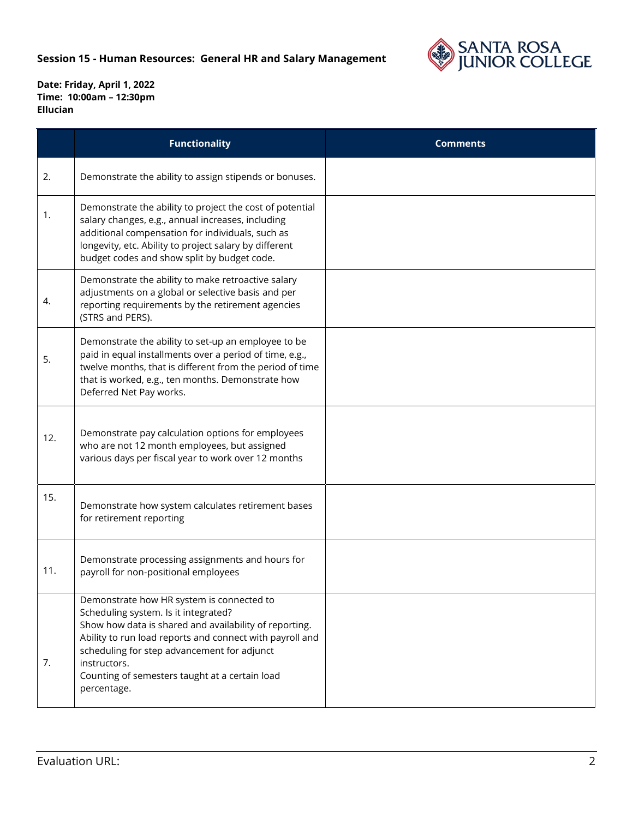

|     | <b>Functionality</b>                                                                                                                                                                                                                                                                                                                    | <b>Comments</b> |
|-----|-----------------------------------------------------------------------------------------------------------------------------------------------------------------------------------------------------------------------------------------------------------------------------------------------------------------------------------------|-----------------|
| 2.  | Demonstrate the ability to assign stipends or bonuses.                                                                                                                                                                                                                                                                                  |                 |
| 1.  | Demonstrate the ability to project the cost of potential<br>salary changes, e.g., annual increases, including<br>additional compensation for individuals, such as<br>longevity, etc. Ability to project salary by different<br>budget codes and show split by budget code.                                                              |                 |
| 4.  | Demonstrate the ability to make retroactive salary<br>adjustments on a global or selective basis and per<br>reporting requirements by the retirement agencies<br>(STRS and PERS).                                                                                                                                                       |                 |
| 5.  | Demonstrate the ability to set-up an employee to be<br>paid in equal installments over a period of time, e.g.,<br>twelve months, that is different from the period of time<br>that is worked, e.g., ten months. Demonstrate how<br>Deferred Net Pay works.                                                                              |                 |
| 12. | Demonstrate pay calculation options for employees<br>who are not 12 month employees, but assigned<br>various days per fiscal year to work over 12 months                                                                                                                                                                                |                 |
| 15. | Demonstrate how system calculates retirement bases<br>for retirement reporting                                                                                                                                                                                                                                                          |                 |
| 11. | Demonstrate processing assignments and hours for<br>payroll for non-positional employees                                                                                                                                                                                                                                                |                 |
| 7.  | Demonstrate how HR system is connected to<br>Scheduling system. Is it integrated?<br>Show how data is shared and availability of reporting.<br>Ability to run load reports and connect with payroll and<br>scheduling for step advancement for adjunct<br>instructors.<br>Counting of semesters taught at a certain load<br>percentage. |                 |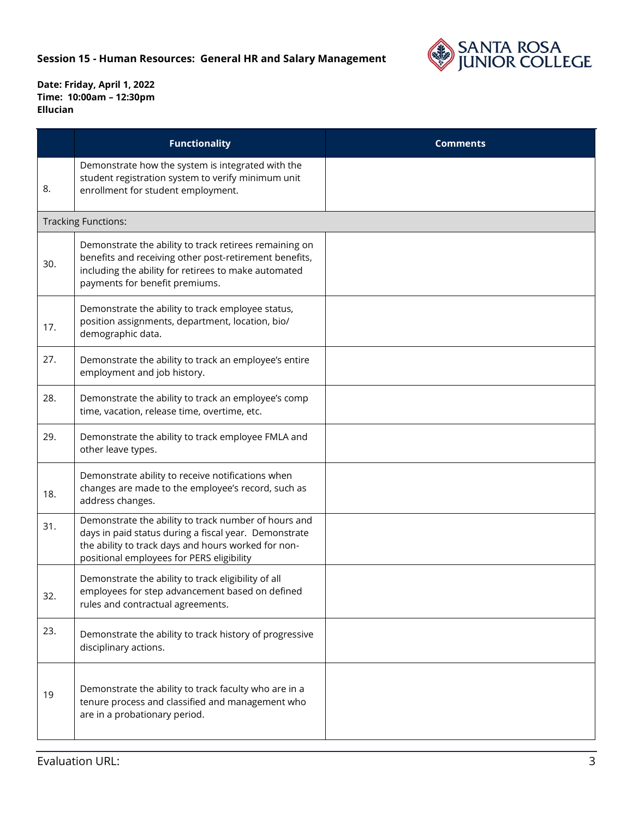

|     | <b>Functionality</b>                                                                                                                                                                                              | <b>Comments</b> |
|-----|-------------------------------------------------------------------------------------------------------------------------------------------------------------------------------------------------------------------|-----------------|
| 8.  | Demonstrate how the system is integrated with the<br>student registration system to verify minimum unit<br>enrollment for student employment.                                                                     |                 |
|     | <b>Tracking Functions:</b>                                                                                                                                                                                        |                 |
| 30. | Demonstrate the ability to track retirees remaining on<br>benefits and receiving other post-retirement benefits,<br>including the ability for retirees to make automated<br>payments for benefit premiums.        |                 |
| 17. | Demonstrate the ability to track employee status,<br>position assignments, department, location, bio/<br>demographic data.                                                                                        |                 |
| 27. | Demonstrate the ability to track an employee's entire<br>employment and job history.                                                                                                                              |                 |
| 28. | Demonstrate the ability to track an employee's comp<br>time, vacation, release time, overtime, etc.                                                                                                               |                 |
| 29. | Demonstrate the ability to track employee FMLA and<br>other leave types.                                                                                                                                          |                 |
| 18. | Demonstrate ability to receive notifications when<br>changes are made to the employee's record, such as<br>address changes.                                                                                       |                 |
| 31. | Demonstrate the ability to track number of hours and<br>days in paid status during a fiscal year. Demonstrate<br>the ability to track days and hours worked for non-<br>positional employees for PERS eligibility |                 |
| 32. | Demonstrate the ability to track eligibility of all<br>employees for step advancement based on defined<br>rules and contractual agreements.                                                                       |                 |
| 23. | Demonstrate the ability to track history of progressive<br>disciplinary actions.                                                                                                                                  |                 |
| 19  | Demonstrate the ability to track faculty who are in a<br>tenure process and classified and management who<br>are in a probationary period.                                                                        |                 |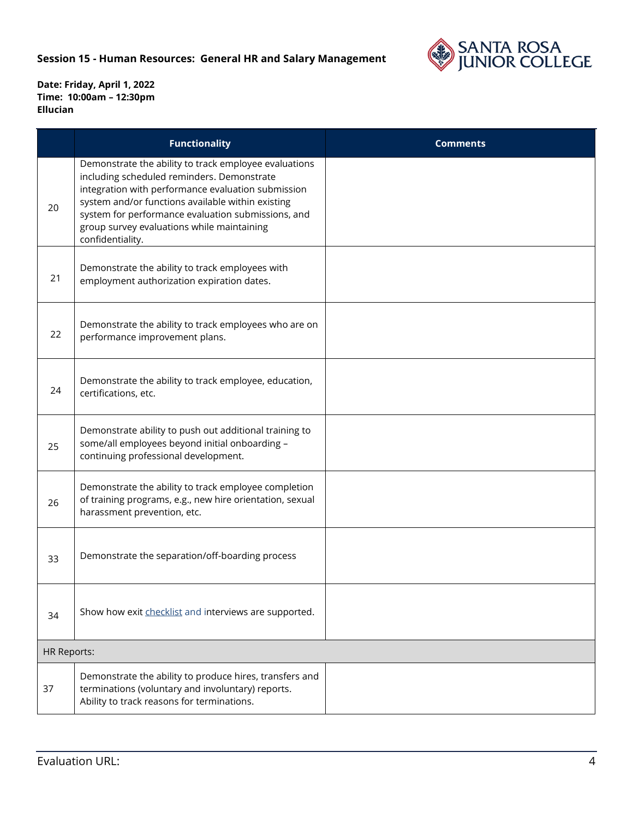

|                    | <b>Functionality</b>                                                                                                                                                                                                                                                                                                                   | <b>Comments</b> |
|--------------------|----------------------------------------------------------------------------------------------------------------------------------------------------------------------------------------------------------------------------------------------------------------------------------------------------------------------------------------|-----------------|
| 20                 | Demonstrate the ability to track employee evaluations<br>including scheduled reminders. Demonstrate<br>integration with performance evaluation submission<br>system and/or functions available within existing<br>system for performance evaluation submissions, and<br>group survey evaluations while maintaining<br>confidentiality. |                 |
| 21                 | Demonstrate the ability to track employees with<br>employment authorization expiration dates.                                                                                                                                                                                                                                          |                 |
| 22                 | Demonstrate the ability to track employees who are on<br>performance improvement plans.                                                                                                                                                                                                                                                |                 |
| 24                 | Demonstrate the ability to track employee, education,<br>certifications, etc.                                                                                                                                                                                                                                                          |                 |
| 25                 | Demonstrate ability to push out additional training to<br>some/all employees beyond initial onboarding -<br>continuing professional development.                                                                                                                                                                                       |                 |
| 26                 | Demonstrate the ability to track employee completion<br>of training programs, e.g., new hire orientation, sexual<br>harassment prevention, etc.                                                                                                                                                                                        |                 |
| 33                 | Demonstrate the separation/off-boarding process                                                                                                                                                                                                                                                                                        |                 |
| 34                 | Show how exit checklist and interviews are supported.                                                                                                                                                                                                                                                                                  |                 |
| <b>HR Reports:</b> |                                                                                                                                                                                                                                                                                                                                        |                 |
| 37                 | Demonstrate the ability to produce hires, transfers and<br>terminations (voluntary and involuntary) reports.<br>Ability to track reasons for terminations.                                                                                                                                                                             |                 |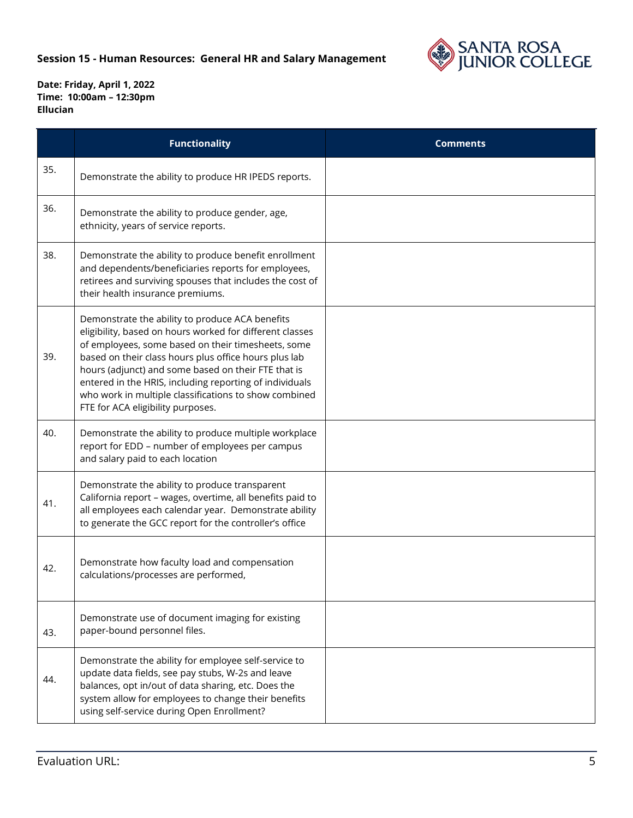

|     | <b>Functionality</b>                                                                                                                                                                                                                                                                                                                                                                                                                       | <b>Comments</b> |
|-----|--------------------------------------------------------------------------------------------------------------------------------------------------------------------------------------------------------------------------------------------------------------------------------------------------------------------------------------------------------------------------------------------------------------------------------------------|-----------------|
| 35. | Demonstrate the ability to produce HR IPEDS reports.                                                                                                                                                                                                                                                                                                                                                                                       |                 |
| 36. | Demonstrate the ability to produce gender, age,<br>ethnicity, years of service reports.                                                                                                                                                                                                                                                                                                                                                    |                 |
| 38. | Demonstrate the ability to produce benefit enrollment<br>and dependents/beneficiaries reports for employees,<br>retirees and surviving spouses that includes the cost of<br>their health insurance premiums.                                                                                                                                                                                                                               |                 |
| 39. | Demonstrate the ability to produce ACA benefits<br>eligibility, based on hours worked for different classes<br>of employees, some based on their timesheets, some<br>based on their class hours plus office hours plus lab<br>hours (adjunct) and some based on their FTE that is<br>entered in the HRIS, including reporting of individuals<br>who work in multiple classifications to show combined<br>FTE for ACA eligibility purposes. |                 |
| 40. | Demonstrate the ability to produce multiple workplace<br>report for EDD - number of employees per campus<br>and salary paid to each location                                                                                                                                                                                                                                                                                               |                 |
| 41. | Demonstrate the ability to produce transparent<br>California report - wages, overtime, all benefits paid to<br>all employees each calendar year. Demonstrate ability<br>to generate the GCC report for the controller's office                                                                                                                                                                                                             |                 |
| 42. | Demonstrate how faculty load and compensation<br>calculations/processes are performed,                                                                                                                                                                                                                                                                                                                                                     |                 |
| 43. | Demonstrate use of document imaging for existing<br>paper-bound personnel files.                                                                                                                                                                                                                                                                                                                                                           |                 |
| 44. | Demonstrate the ability for employee self-service to<br>update data fields, see pay stubs, W-2s and leave<br>balances, opt in/out of data sharing, etc. Does the<br>system allow for employees to change their benefits<br>using self-service during Open Enrollment?                                                                                                                                                                      |                 |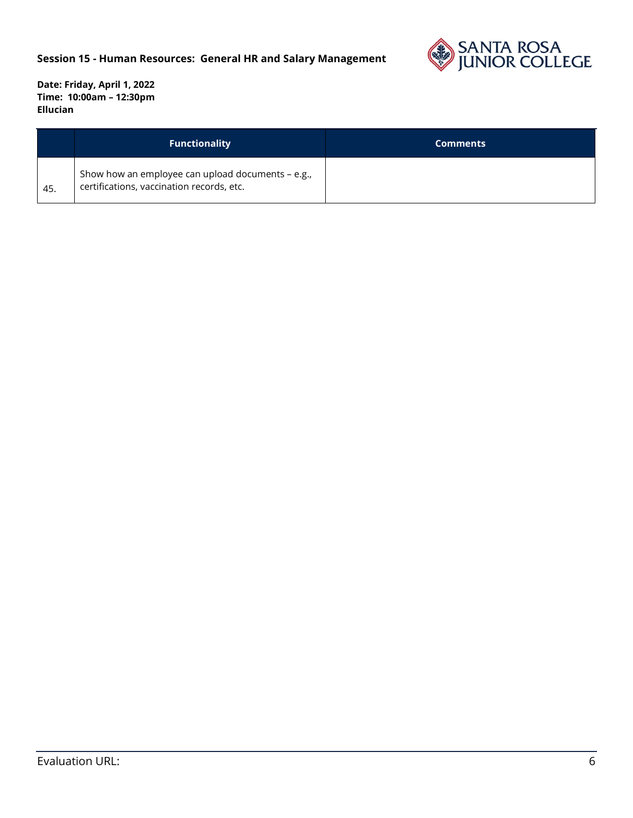

|     | <b>Functionality</b>                                                                           | <b>Comments</b> |
|-----|------------------------------------------------------------------------------------------------|-----------------|
| 45. | Show how an employee can upload documents - e.g.,<br>certifications, vaccination records, etc. |                 |